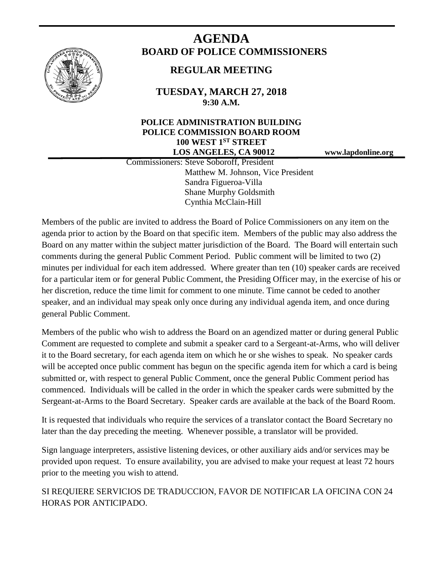

# **AGENDA BOARD OF POLICE COMMISSIONERS**

## **REGULAR MEETING**

**TUESDAY, MARCH 27, 2018 9:30 A.M.**

### **POLICE ADMINISTRATION BUILDING POLICE COMMISSION BOARD ROOM 100 WEST 1ST STREET LOS ANGELES, CA 90012 www.lapdonline.org**

 Commissioners: Steve Soboroff, President Matthew M. Johnson, Vice President Sandra Figueroa-Villa Shane Murphy Goldsmith Cynthia McClain-Hill

Members of the public are invited to address the Board of Police Commissioners on any item on the agenda prior to action by the Board on that specific item. Members of the public may also address the Board on any matter within the subject matter jurisdiction of the Board. The Board will entertain such comments during the general Public Comment Period. Public comment will be limited to two (2) minutes per individual for each item addressed. Where greater than ten (10) speaker cards are received for a particular item or for general Public Comment, the Presiding Officer may, in the exercise of his or her discretion, reduce the time limit for comment to one minute. Time cannot be ceded to another speaker, and an individual may speak only once during any individual agenda item, and once during general Public Comment.

Members of the public who wish to address the Board on an agendized matter or during general Public Comment are requested to complete and submit a speaker card to a Sergeant-at-Arms, who will deliver it to the Board secretary, for each agenda item on which he or she wishes to speak. No speaker cards will be accepted once public comment has begun on the specific agenda item for which a card is being submitted or, with respect to general Public Comment, once the general Public Comment period has commenced. Individuals will be called in the order in which the speaker cards were submitted by the Sergeant-at-Arms to the Board Secretary. Speaker cards are available at the back of the Board Room.

It is requested that individuals who require the services of a translator contact the Board Secretary no later than the day preceding the meeting. Whenever possible, a translator will be provided.

Sign language interpreters, assistive listening devices, or other auxiliary aids and/or services may be provided upon request. To ensure availability, you are advised to make your request at least 72 hours prior to the meeting you wish to attend.

SI REQUIERE SERVICIOS DE TRADUCCION, FAVOR DE NOTIFICAR LA OFICINA CON 24 HORAS POR ANTICIPADO.